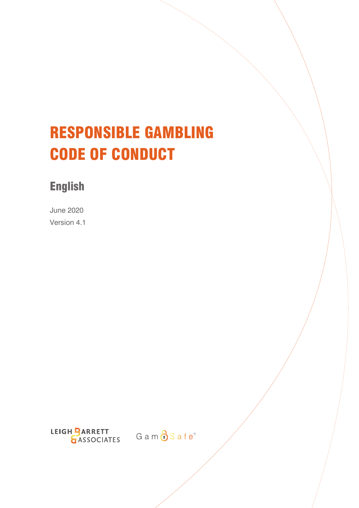# RESPONSIBLE GAMBLING CODE OF CONDUCT

# English

June 2020 Version 4.1

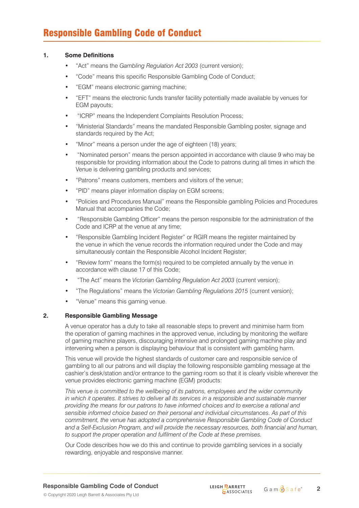#### **1. Some Definitions**

- "Act" means the *Gambling Regulation Act 2003* (current version);
- "Code" means this specific Responsible Gambling Code of Conduct;
- "EGM" means electronic gaming machine;
- "EFT" means the electronic funds transfer facility potentially made available by venues for EGM payouts;
- "ICRP" means the Independent Complaints Resolution Process;
- "Ministerial Standards" means the mandated Responsible Gambling poster, signage and standards required by the Act;
- "Minor" means a person under the age of eighteen (18) years;
- "Nominated person" means the person appointed in accordance with clause 9 who may be responsible for providing information about the Code to patrons during all times in which the Venue is delivering gambling products and services;
- "Patrons" means customers, members and visitors of the venue;
- "PID" means player information display on EGM screens;
- "Policies and Procedures Manual" means the Responsible gambling Policies and Procedures Manual that accompanies the Code;
- "Responsible Gambling Officer" means the person responsible for the administration of the Code and ICRP at the venue at any time;
- "Responsible Gambling Incident Register" or RGIR means the register maintained by the venue in which the venue records the information required under the Code and may simultaneously contain the Responsible Alcohol Incident Register;
- "Review form" means the form(s) required to be completed annually by the venue in accordance with clause 17 of this Code;
- "The Act" means the *Victorian Gambling Regulation Act 2003* (current version);
- "The Regulations" means the *Victorian Gambling Regulations 2015* (current version);
- "Venue" means this gaming venue.

#### **2. Responsible Gambling Message**

A venue operator has a duty to take all reasonable steps to prevent and minimise harm from the operation of gaming machines in the approved venue, including by monitoring the welfare of gaming machine players, discouraging intensive and prolonged gaming machine play and intervening when a person is displaying behaviour that is consistent with gambling harm.

This venue will provide the highest standards of customer care and responsible service of gambling to all our patrons and will display the following responsible gambling message at the cashier's desk/station and/or entrance to the gaming room so that it is clearly visible wherever the venue provides electronic gaming machine (EGM) products:

*This venue is committed to the wellbeing of its patrons, employees and the wider community in which it operates. It strives to deliver all its services in a responsible and sustainable manner providing the means for our patrons to have informed choices and to exercise a rational and sensible informed choice based on their personal and individual circumstances. As part of this commitment, the venue has adopted a comprehensive Responsible Gambling Code of Conduct and a Self-Exclusion Program, and will provide the necessary resources, both financial and human, to support the proper operation and fulfilment of the Code at these premises.*

Our Code describes how we do this and continue to provide gambling services in a socially rewarding, enjoyable and responsive manner.

**Responsible Gambling Code of Conduct**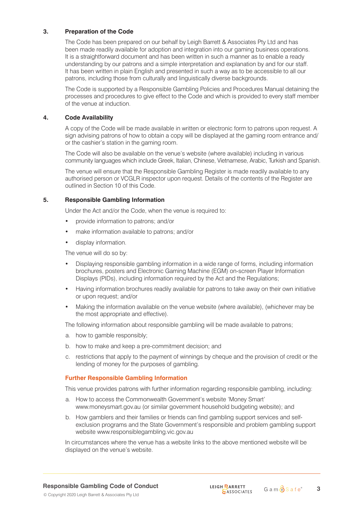# **3. Preparation of the Code**

The Code has been prepared on our behalf by Leigh Barrett & Associates Pty Ltd and has been made readily available for adoption and integration into our gaming business operations. It is a straightforward document and has been written in such a manner as to enable a ready understanding by our patrons and a simple interpretation and explanation by and for our staff. It has been written in plain English and presented in such a way as to be accessible to all our patrons, including those from culturally and linguistically diverse backgrounds.

The Code is supported by a Responsible Gambling Policies and Procedures Manual detaining the processes and procedures to give effect to the Code and which is provided to every staff member of the venue at induction.

# **4. Code Availability**

A copy of the Code will be made available in written or electronic form to patrons upon request. A sign advising patrons of how to obtain a copy will be displayed at the gaming room entrance and/ or the cashier's station in the gaming room.

The Code will also be available on the venue's website (where available) including in various community languages which include Greek, Italian, Chinese, Vietnamese, Arabic, Turkish and Spanish.

The venue will ensure that the Responsible Gambling Register is made readily available to any authorised person or VCGLR inspector upon request. Details of the contents of the Register are outlined in Section 10 of this Code.

# **5. Responsible Gambling Information**

Under the Act and/or the Code, when the venue is required to:

- provide information to patrons; and/or
- make information available to patrons; and/or
- display information.

The venue will do so by:

- Displaying responsible gambling information in a wide range of forms, including information brochures, posters and Electronic Gaming Machine (EGM) on-screen Player Information Displays (PIDs), including information required by the Act and the Regulations;
- Having information brochures readily available for patrons to take away on their own initiative or upon request; and/or
- Making the information available on the venue website (where available), (whichever may be the most appropriate and effective).

The following information about responsible gambling will be made available to patrons;

- a. how to gamble responsibly;
- b. how to make and keep a pre-commitment decision; and
- c. restrictions that apply to the payment of winnings by cheque and the provision of credit or the lending of money for the purposes of gambling.

#### **Further Responsible Gambling Information**

This venue provides patrons with further information regarding responsible gambling, including:

- a. How to access the Commonwealth Government's website 'Money Smart' www.moneysmart.gov.au (or similar government household budgeting website); and
- b. How gamblers and their families or friends can find gambling support services and selfexclusion programs and the State Government's responsible and problem gambling support website www.responsiblegambling.vic.gov.au

In circumstances where the venue has a website links to the above mentioned website will be displayed on the venue's website.

**Responsible Gambling Code of Conduct**

© Copyright 2020 Leigh Barrett & Associates Pty Ltd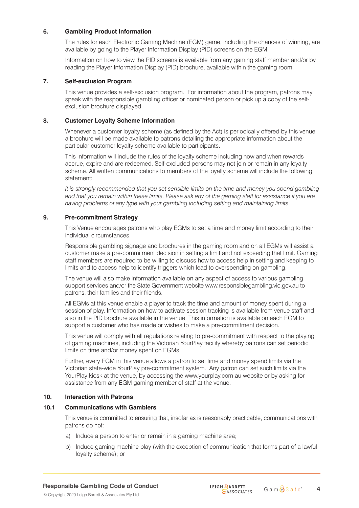# **6. Gambling Product Information**

The rules for each Electronic Gaming Machine (EGM) game, including the chances of winning, are available by going to the Player Information Display (PID) screens on the EGM.

Information on how to view the PID screens is available from any gaming staff member and/or by reading the Player Information Display (PID) brochure, available within the gaming room.

#### **7. Self-exclusion Program**

This venue provides a self-exclusion program. For information about the program, patrons may speak with the responsible gambling officer or nominated person or pick up a copy of the selfexclusion brochure displayed.

# **8. Customer Loyalty Scheme Information**

Whenever a customer loyalty scheme (as defined by the Act) is periodically offered by this venue a brochure will be made available to patrons detailing the appropriate information about the particular customer loyalty scheme available to participants.

This information will include the rules of the loyalty scheme including how and when rewards accrue, expire and are redeemed. Self-excluded persons may not join or remain in any loyalty scheme. All written communications to members of the loyalty scheme will include the following statement:

*It is strongly recommended that you set sensible limits on the time and money you spend gambling and that you remain within these limits. Please ask any of the gaming staff for assistance if you are having problems of any type with your gambling including setting and maintaining limits.*

# **9. Pre-commitment Strategy**

This Venue encourages patrons who play EGMs to set a time and money limit according to their individual circumstances.

Responsible gambling signage and brochures in the gaming room and on all EGMs will assist a customer make a pre-commitment decision in setting a limit and not exceeding that limit. Gaming staff members are required to be willing to discuss how to access help in setting and keeping to limits and to access help to identify triggers which lead to overspending on gambling.

The venue will also make information available on any aspect of access to various gambling support services and/or the State Government website www.responsiblegambling.vic.gov.au to patrons, their families and their friends.

All EGMs at this venue enable a player to track the time and amount of money spent during a session of play. Information on how to activate session tracking is available from venue staff and also in the PID brochure available in the venue. This information is available on each EGM to support a customer who has made or wishes to make a pre-commitment decision.

This venue will comply with all regulations relating to pre-commitment with respect to the playing of gaming machines, including the Victorian YourPlay facility whereby patrons can set periodic limits on time and/or money spent on EGMs.

Further, every EGM in this venue allows a patron to set time and money spend limits via the Victorian state-wide YourPlay pre-commitment system. Any patron can set such limits via the YourPlay kiosk at the venue, by accessing the www.yourplay.com.au website or by asking for assistance from any EGM gaming member of staff at the venue.

#### **10. Interaction with Patrons**

#### **10.1 Communications with Gamblers**

This venue is committed to ensuring that, insofar as is reasonably practicable, communications with patrons do not:

- a) Induce a person to enter or remain in a gaming machine area;
- b) Induce gaming machine play (with the exception of communication that forms part of a lawful loyalty scheme); or

© Copyright 2020 Leigh Barrett & Associates Pty Ltd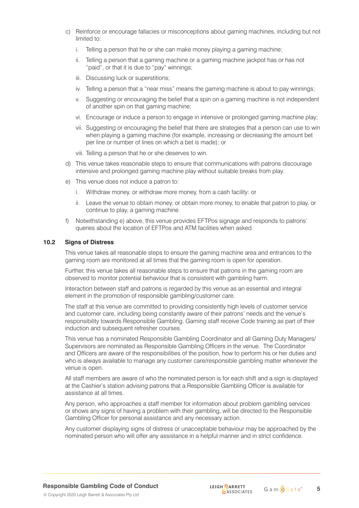- c) Reinforce or encourage fallacies or misconceptions about gaming machines, including but not limited to:
	- i. Telling a person that he or she can make money playing a gaming machine;
	- ii. Telling a person that a gaming machine or a gaming machine jackpot has or has not "paid", or that it is due to "pay" winnings;
	- iii. Discussing luck or superstitions;
	- iv. Telling a person that a "near miss" means the gaming machine is about to pay winnings;
	- v. Suggesting or encouraging the belief that a spin on a gaming machine is not independent of another spin on that gaming machine;
	- vi. Encourage or induce a person to engage in intensive or prolonged gaming machine play;
	- vii. Suggesting or encouraging the belief that there are strategies that a person can use to win when playing a gaming machine (for example, increasing or decreasing the amount bet per line or number of lines on which a bet is made); or
	- viii. Telling a person that he or she deserves to win.
- d) This venue takes reasonable steps to ensure that communications with patrons discourage intensive and prolonged gaming machine play without suitable breaks from play.
- e) This venue does not induce a patron to:
	- i. Withdraw money, or withdraw more money, from a cash facility: or
	- ii. Leave the venue to obtain money, or obtain more money, to enable that patron to play, or continue to play, a gaming machine.
- f) Notwithstanding e) above, this venue provides EFTPos signage and responds to patrons' queries about the location of EFTPos and ATM facilities when asked.

#### **10.2 Signs of Distress**

This venue takes all reasonable steps to ensure the gaming machine area and entrances to the gaming room are monitored at all times that the gaming room is open for operation.

Further, this venue takes all reasonable steps to ensure that patrons in the gaming room are observed to monitor potential behaviour that is consistent with gambling harm.

Interaction between staff and patrons is regarded by this venue as an essential and integral element in the promotion of responsible gambling/customer care.

The staff at this venue are committed to providing consistently high levels of customer service and customer care, including being constantly aware of their patrons' needs and the venue's responsibility towards Responsible Gambling. Gaming staff receive Code training as part of their induction and subsequent refresher courses.

This venue has a nominated Responsible Gambling Coordinator and all Gaming Duty Managers/ Supervisors are nominated as Responsible Gambling Officers in the venue. The Coordinator and Officers are aware of the responsibilities of the position, how to perform his or her duties and who is always available to manage any customer care/responsible gambling matter whenever the venue is open.

All staff members are aware of who the nominated person is for each shift and a sign is displayed at the Cashier's station advising patrons that a Responsible Gambling Officer is available for assistance at all times.

Any person, who approaches a staff member for information about problem gambling services or shows any signs of having a problem with their gambling, will be directed to the Responsible Gambling Officer for personal assistance and any necessary action.

Any customer displaying signs of distress or unacceptable behaviour may be approached by the nominated person who will offer any assistance in a helpful manner and in strict confidence.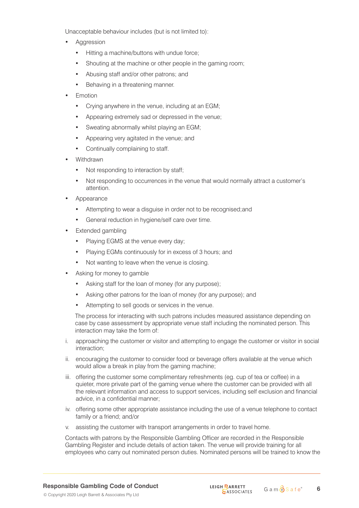Unacceptable behaviour includes (but is not limited to):

- **Aggression** 
	- Hitting a machine/buttons with undue force;
	- Shouting at the machine or other people in the gaming room;
	- Abusing staff and/or other patrons; and
	- Behaving in a threatening manner.
- **Emotion** 
	- Crying anywhere in the venue, including at an EGM;
	- Appearing extremely sad or depressed in the venue;
	- Sweating abnormally whilst playing an EGM;
	- Appearing very agitated in the venue; and
	- Continually complaining to staff.
- Withdrawn
	- Not responding to interaction by staff;
	- Not responding to occurrences in the venue that would normally attract a customer's attention.
- Appearance
	- Attempting to wear a disguise in order not to be recognised;and
	- General reduction in hygiene/self care over time.
- Extended gambling
	- Playing EGMS at the venue every day;
	- Playing EGMs continuously for in excess of 3 hours; and
	- Not wanting to leave when the venue is closing.
- Asking for money to gamble
	- Asking staff for the loan of money (for any purpose);
	- Asking other patrons for the loan of money (for any purpose); and
	- Attempting to sell goods or services in the venue.

The process for interacting with such patrons includes measured assistance depending on case by case assessment by appropriate venue staff including the nominated person. This interaction may take the form of:

- i. approaching the customer or visitor and attempting to engage the customer or visitor in social interaction;
- ii. encouraging the customer to consider food or beverage offers available at the venue which would allow a break in play from the gaming machine;
- iii. offering the customer some complimentary refreshments (eg. cup of tea or coffee) in a quieter, more private part of the gaming venue where the customer can be provided with all the relevant information and access to support services, including self exclusion and financial advice, in a confidential manner;
- iv. offering some other appropriate assistance including the use of a venue telephone to contact family or a friend; and/or
- v. assisting the customer with transport arrangements in order to travel home.

Contacts with patrons by the Responsible Gambling Officer are recorded in the Responsible Gambling Register and include details of action taken. The venue will provide training for all employees who carry out nominated person duties. Nominated persons will be trained to know the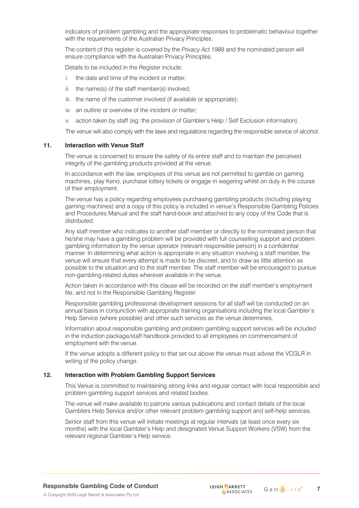indicators of problem gambling and the appropriate responses to problematic behaviour together with the requirements of the Australian Privacy Principles.

The content of this register is covered by the *Privacy Act 1988* and the nominated person will ensure compliance with the Australian Privacy Principles.

Details to be included in the Register include:

- i. the date and time of the incident or matter;
- ii. the name(s) of the staff member(s) involved;
- iii. the name of the customer involved (if available or appropriate);
- iv. an outline or overview of the incident or matter;
- v. action taken by staff (eg: the provision of Gambler's Help / Self Exclusion information).

The venue will also comply with the laws and regulations regarding the responsible service of alcohol.

#### **11. Interaction with Venue Staff**

The venue is concerned to ensure the safety of its entire staff and to maintain the perceived integrity of the gambling products provided at the venue.

In accordance with the law, employees of this venue are not permitted to gamble on gaming machines, play Keno, purchase lottery tickets or engage in wagering whilst on duty in the course of their employment.

The venue has a policy regarding employees purchasing gambling products (including playing gaming machines) and a copy of this policy is included in venue's Responsible Gambling Policies and Procedures Manual and the staff hand-book and attached to any copy of the Code that is distributed.

Any staff member who indicates to another staff member or directly to the nominated person that he/she may have a gambling problem will be provided with full counselling support and problem gambling information by the venue operator (relevant responsible person) in a confidential manner. In determining what action is appropriate in any situation involving a staff member, the venue will ensure that every attempt is made to be discreet, and to draw as little attention as possible to the situation and to the staff member. The staff member will be encouraged to pursue non-gambling related duties wherever available in the venue.

Action taken in accordance with this clause will be recorded on the staff member's employment file, and not in the Responsible Gambling Register.

Responsible gambling professional development sessions for all staff will be conducted on an annual basis in conjunction with appropriate training organisations including the local Gambler's Help Service (where possible) and other such services as the venue determines.

Information about responsible gambling and problem gambling support services will be included in the induction package/staff handbook provided to all employees on commencement of employment with the venue.

If the venue adopts a different policy to that set out above the venue must advise the VCGLR in writing of the policy change.

# **12. Interaction with Problem Gambling Support Services**

This Venue is committed to maintaining strong links and regular contact with local responsible and problem gambling support services and related bodies.

The venue will make available to patrons various publications and contact details of the local Gamblers Help Service and/or other relevant problem gambling support and self-help services.

Senior staff from this venue will initiate meetings at regular intervals (at least once every six months) with the local Gambler's Help and designated Venue Support Workers (VSW) from the relevant regional Gambler's Help service.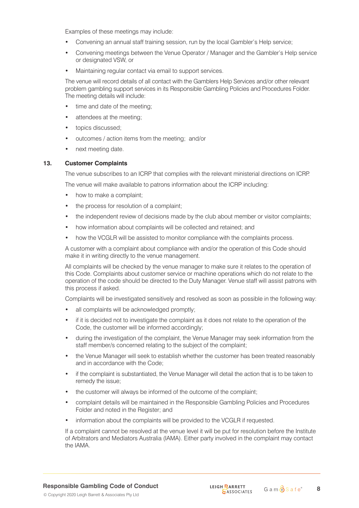Examples of these meetings may include:

- Convening an annual staff training session, run by the local Gambler's Help service;
- Convening meetings between the Venue Operator / Manager and the Gambler's Help service or designated VSW, or
- Maintaining regular contact via email to support services.

The venue will record details of all contact with the Gamblers Help Services and/or other relevant problem gambling support services in its Responsible Gambling Policies and Procedures Folder. The meeting details will include:

- time and date of the meeting:
- attendees at the meeting;
- topics discussed;
- outcomes / action items from the meeting; and/or
- next meeting date.

#### **13. Customer Complaints**

The venue subscribes to an ICRP that complies with the relevant ministerial directions on ICRP.

The venue will make available to patrons information about the ICRP including:

- how to make a complaint:
- the process for resolution of a complaint;
- the independent review of decisions made by the club about member or visitor complaints;
- how information about complaints will be collected and retained; and
- how the VCGLR will be assisted to monitor compliance with the complaints process.

A customer with a complaint about compliance with and/or the operation of this Code should make it in writing directly to the venue management.

All complaints will be checked by the venue manager to make sure it relates to the operation of this Code. Complaints about customer service or machine operations which do not relate to the operation of the code should be directed to the Duty Manager. Venue staff will assist patrons with this process if asked.

Complaints will be investigated sensitively and resolved as soon as possible in the following way:

- all complaints will be acknowledged promptly;
- if it is decided not to investigate the complaint as it does not relate to the operation of the Code, the customer will be informed accordingly;
- during the investigation of the complaint, the Venue Manager may seek information from the staff member/s concerned relating to the subject of the complaint;
- the Venue Manager will seek to establish whether the customer has been treated reasonably and in accordance with the Code;
- if the complaint is substantiated, the Venue Manager will detail the action that is to be taken to remedy the issue;
- the customer will always be informed of the outcome of the complaint;
- complaint details will be maintained in the Responsible Gambling Policies and Procedures Folder and noted in the Register; and
- information about the complaints will be provided to the VCGLR if requested.

If a complaint cannot be resolved at the venue level it will be put for resolution before the Institute of Arbitrators and Mediators Australia (IAMA). Either party involved in the complaint may contact the IAMA.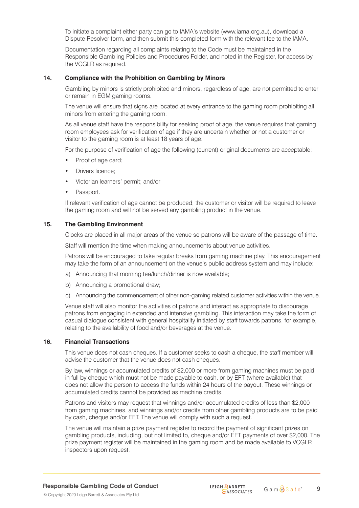To initiate a complaint either party can go to IAMA's website (www.iama.org.au), download a Dispute Resolver form, and then submit this completed form with the relevant fee to the IAMA.

Documentation regarding all complaints relating to the Code must be maintained in the Responsible Gambling Policies and Procedures Folder, and noted in the Register, for access by the VCGLR as required.

#### **14. Compliance with the Prohibition on Gambling by Minors**

Gambling by minors is strictly prohibited and minors, regardless of age, are not permitted to enter or remain in EGM gaming rooms.

The venue will ensure that signs are located at every entrance to the gaming room prohibiting all minors from entering the gaming room.

As all venue staff have the responsibility for seeking proof of age, the venue requires that gaming room employees ask for verification of age if they are uncertain whether or not a customer or visitor to the gaming room is at least 18 years of age.

For the purpose of verification of age the following (current) original documents are acceptable:

- Proof of age card;
- Drivers licence:
- Victorian learners' permit; and/or
- Passport.

If relevant verification of age cannot be produced, the customer or visitor will be required to leave the gaming room and will not be served any gambling product in the venue.

#### **15. The Gambling Environment**

Clocks are placed in all major areas of the venue so patrons will be aware of the passage of time.

Staff will mention the time when making announcements about venue activities.

Patrons will be encouraged to take regular breaks from gaming machine play. This encouragement may take the form of an announcement on the venue's public address system and may include:

- a) Announcing that morning tea/lunch/dinner is now available;
- b) Announcing a promotional draw;
- c) Announcing the commencement of other non-gaming related customer activities within the venue.

Venue staff will also monitor the activities of patrons and interact as appropriate to discourage patrons from engaging in extended and intensive gambling. This interaction may take the form of casual dialogue consistent with general hospitality initiated by staff towards patrons, for example, relating to the availability of food and/or beverages at the venue.

#### **16. Financial Transactions**

This venue does not cash cheques. If a customer seeks to cash a cheque, the staff member will advise the customer that the venue does not cash cheques.

By law, winnings or accumulated credits of \$2,000 or more from gaming machines must be paid in full by cheque which must not be made payable to cash, or by EFT (where available) that does not allow the person to access the funds within 24 hours of the payout. These winnings or accumulated credits cannot be provided as machine credits.

Patrons and visitors may request that winnings and/or accumulated credits of less than \$2,000 from gaming machines, and winnings and/or credits from other gambling products are to be paid by cash, cheque and/or EFT. The venue will comply with such a request.

The venue will maintain a prize payment register to record the payment of significant prizes on gambling products, including, but not limited to, cheque and/or EFT payments of over \$2,000. The prize payment register will be maintained in the gaming room and be made available to VCGLR inspectors upon request.